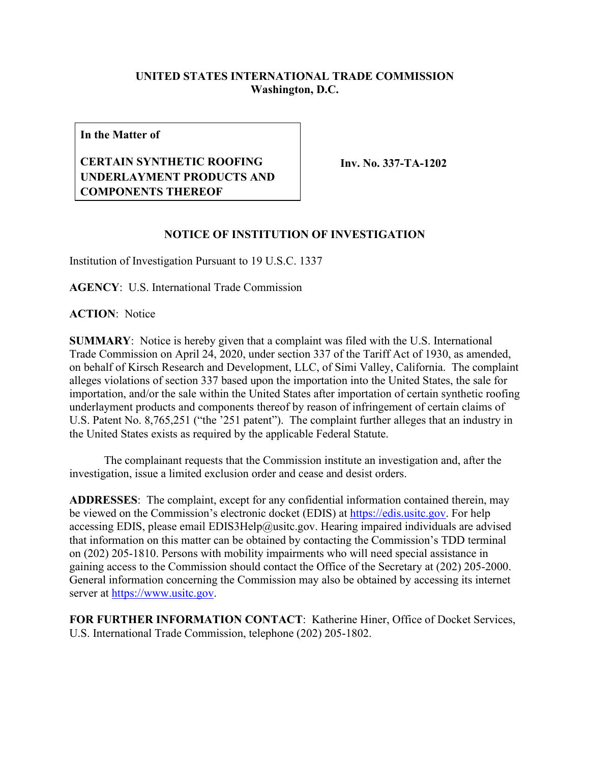## **UNITED STATES INTERNATIONAL TRADE COMMISSION Washington, D.C.**

**In the Matter of**

## **CERTAIN SYNTHETIC ROOFING UNDERLAYMENT PRODUCTS AND COMPONENTS THEREOF**

**Inv. No. 337-TA-1202**

## **NOTICE OF INSTITUTION OF INVESTIGATION**

Institution of Investigation Pursuant to 19 U.S.C. 1337

**AGENCY**: U.S. International Trade Commission

**ACTION**: Notice

**SUMMARY**: Notice is hereby given that a complaint was filed with the U.S. International Trade Commission on April 24, 2020, under section 337 of the Tariff Act of 1930, as amended, on behalf of Kirsch Research and Development, LLC, of Simi Valley, California. The complaint alleges violations of section 337 based upon the importation into the United States, the sale for importation, and/or the sale within the United States after importation of certain synthetic roofing underlayment products and components thereof by reason of infringement of certain claims of U.S. Patent No. 8,765,251 ("the '251 patent"). The complaint further alleges that an industry in the United States exists as required by the applicable Federal Statute.

The complainant requests that the Commission institute an investigation and, after the investigation, issue a limited exclusion order and cease and desist orders.

**ADDRESSES**: The complaint, except for any confidential information contained therein, may be viewed on the Commission's electronic docket (EDIS) at [https://edis.usitc.gov.](https://edis.usitc.gov/) For help accessing EDIS, please email EDIS3Help@usitc.gov. Hearing impaired individuals are advised that information on this matter can be obtained by contacting the Commission's TDD terminal on (202) 205-1810. Persons with mobility impairments who will need special assistance in gaining access to the Commission should contact the Office of the Secretary at (202) 205-2000. General information concerning the Commission may also be obtained by accessing its internet server at [https://www.usitc.gov.](https://www.usitc.gov/)

**FOR FURTHER INFORMATION CONTACT**: Katherine Hiner, Office of Docket Services, U.S. International Trade Commission, telephone (202) 205-1802.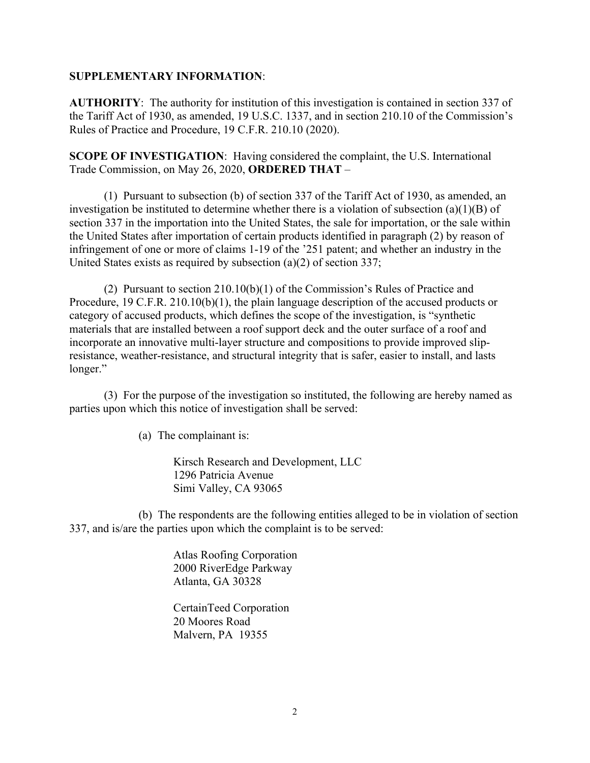## **SUPPLEMENTARY INFORMATION**:

**AUTHORITY**: The authority for institution of this investigation is contained in section 337 of the Tariff Act of 1930, as amended, 19 U.S.C. 1337, and in section 210.10 of the Commission's Rules of Practice and Procedure, 19 C.F.R. 210.10 (2020).

**SCOPE OF INVESTIGATION**: Having considered the complaint, the U.S. International Trade Commission, on May 26, 2020, **ORDERED THAT** –

(1) Pursuant to subsection (b) of section 337 of the Tariff Act of 1930, as amended, an investigation be instituted to determine whether there is a violation of subsection (a)(1)(B) of section 337 in the importation into the United States, the sale for importation, or the sale within the United States after importation of certain products identified in paragraph (2) by reason of infringement of one or more of claims 1-19 of the '251 patent; and whether an industry in the United States exists as required by subsection (a)(2) of section 337;

(2) Pursuant to section 210.10(b)(1) of the Commission's Rules of Practice and Procedure, 19 C.F.R. 210.10(b)(1), the plain language description of the accused products or category of accused products, which defines the scope of the investigation, is "synthetic materials that are installed between a roof support deck and the outer surface of a roof and incorporate an innovative multi-layer structure and compositions to provide improved slipresistance, weather-resistance, and structural integrity that is safer, easier to install, and lasts longer."

(3) For the purpose of the investigation so instituted, the following are hereby named as parties upon which this notice of investigation shall be served:

(a) The complainant is:

Kirsch Research and Development, LLC 1296 Patricia Avenue Simi Valley, CA 93065

(b) The respondents are the following entities alleged to be in violation of section 337, and is/are the parties upon which the complaint is to be served:

> Atlas Roofing Corporation 2000 RiverEdge Parkway Atlanta, GA 30328

 CertainTeed Corporation 20 Moores Road Malvern, PA 19355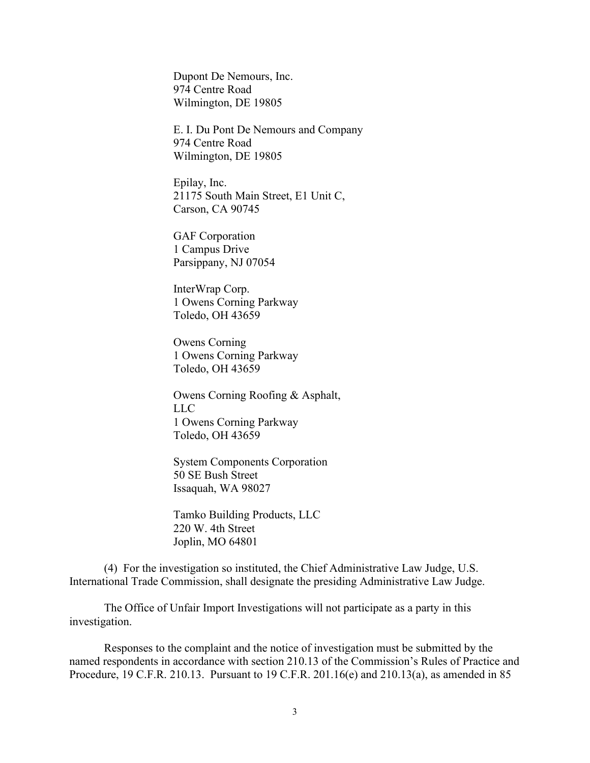Dupont De Nemours, Inc. 974 Centre Road Wilmington, DE 19805

E. I. Du Pont De Nemours and Company 974 Centre Road Wilmington, DE 19805

Epilay, Inc. 21175 South Main Street, E1 Unit C, Carson, CA 90745

GAF Corporation 1 Campus Drive Parsippany, NJ 07054

InterWrap Corp. 1 Owens Corning Parkway Toledo, OH 43659

Owens Corning 1 Owens Corning Parkway Toledo, OH 43659

Owens Corning Roofing & Asphalt, LLC 1 Owens Corning Parkway Toledo, OH 43659

System Components Corporation 50 SE Bush Street Issaquah, WA 98027

Tamko Building Products, LLC 220 W. 4th Street Joplin, MO 64801

(4) For the investigation so instituted, the Chief Administrative Law Judge, U.S. International Trade Commission, shall designate the presiding Administrative Law Judge.

The Office of Unfair Import Investigations will not participate as a party in this investigation.

Responses to the complaint and the notice of investigation must be submitted by the named respondents in accordance with section 210.13 of the Commission's Rules of Practice and Procedure, 19 C.F.R. 210.13. Pursuant to 19 C.F.R. 201.16(e) and 210.13(a), as amended in 85